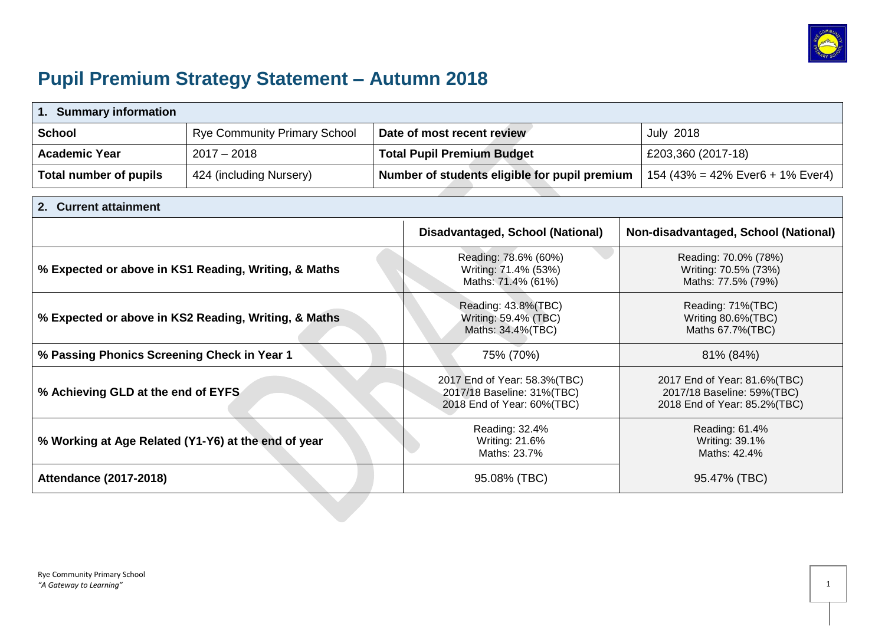

# **Pupil Premium Strategy Statement – Autumn 2018**

| <b>Summary information</b><br>1.                     |                                     |                                                                                          |                                                                                            |  |
|------------------------------------------------------|-------------------------------------|------------------------------------------------------------------------------------------|--------------------------------------------------------------------------------------------|--|
| <b>School</b>                                        | <b>Rye Community Primary School</b> | Date of most recent review                                                               | <b>July 2018</b>                                                                           |  |
| <b>Academic Year</b>                                 | $2017 - 2018$                       | <b>Total Pupil Premium Budget</b>                                                        | £203,360 (2017-18)                                                                         |  |
| <b>Total number of pupils</b>                        | 424 (including Nursery)             | Number of students eligible for pupil premium                                            | 154 (43% = 42% Ever6 + 1% Ever4)                                                           |  |
| <b>Current attainment</b>                            |                                     |                                                                                          |                                                                                            |  |
|                                                      |                                     | Disadvantaged, School (National)                                                         | Non-disadvantaged, School (National)                                                       |  |
| % Expected or above in KS1 Reading, Writing, & Maths |                                     | Reading: 78.6% (60%)<br>Writing: 71.4% (53%)<br>Maths: 71.4% (61%)                       | Reading: 70.0% (78%)<br>Writing: 70.5% (73%)<br>Maths: 77.5% (79%)                         |  |
| % Expected or above in KS2 Reading, Writing, & Maths |                                     | Reading: 43.8%(TBC)<br>Writing: 59.4% (TBC)<br>Maths: 34.4%(TBC)                         | Reading: 71%(TBC)<br>Writing 80.6%(TBC)<br>Maths 67.7% (TBC)                               |  |
| % Passing Phonics Screening Check in Year 1          |                                     | 75% (70%)                                                                                | 81% (84%)                                                                                  |  |
| % Achieving GLD at the end of EYFS                   |                                     | 2017 End of Year: 58.3%(TBC)<br>2017/18 Baseline: 31%(TBC)<br>2018 End of Year: 60%(TBC) | 2017 End of Year: 81.6%(TBC)<br>2017/18 Baseline: 59%(TBC)<br>2018 End of Year: 85.2%(TBC) |  |
| % Working at Age Related (Y1-Y6) at the end of year  |                                     | Reading: 32.4%<br>Writing: 21.6%<br>Maths: 23.7%                                         | Reading: 61.4%<br>Writing: 39.1%<br>Maths: 42.4%                                           |  |
| <b>Attendance (2017-2018)</b>                        |                                     | 95.08% (TBC)                                                                             | 95.47% (TBC)                                                                               |  |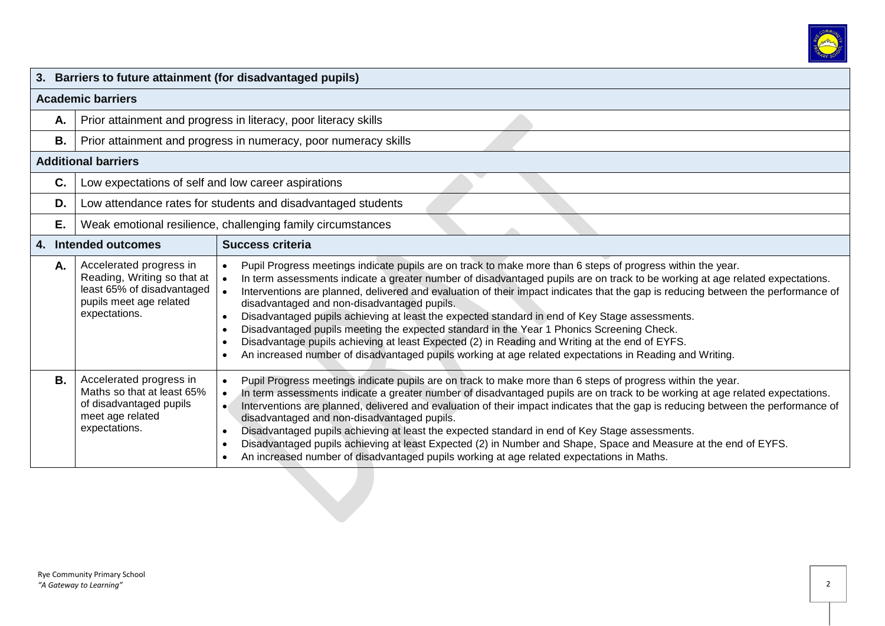

|           |                                                                                                                                  | 3. Barriers to future attainment (for disadvantaged pupils)                                                                                                                                                                                                                                                                                                                                                                                                                                                                                                                                                                                                                                                                                                                                                                                                                                      |
|-----------|----------------------------------------------------------------------------------------------------------------------------------|--------------------------------------------------------------------------------------------------------------------------------------------------------------------------------------------------------------------------------------------------------------------------------------------------------------------------------------------------------------------------------------------------------------------------------------------------------------------------------------------------------------------------------------------------------------------------------------------------------------------------------------------------------------------------------------------------------------------------------------------------------------------------------------------------------------------------------------------------------------------------------------------------|
|           | <b>Academic barriers</b>                                                                                                         |                                                                                                                                                                                                                                                                                                                                                                                                                                                                                                                                                                                                                                                                                                                                                                                                                                                                                                  |
| Α.        |                                                                                                                                  | Prior attainment and progress in literacy, poor literacy skills                                                                                                                                                                                                                                                                                                                                                                                                                                                                                                                                                                                                                                                                                                                                                                                                                                  |
| <b>B.</b> |                                                                                                                                  | Prior attainment and progress in numeracy, poor numeracy skills                                                                                                                                                                                                                                                                                                                                                                                                                                                                                                                                                                                                                                                                                                                                                                                                                                  |
|           | <b>Additional barriers</b>                                                                                                       |                                                                                                                                                                                                                                                                                                                                                                                                                                                                                                                                                                                                                                                                                                                                                                                                                                                                                                  |
| C.        | Low expectations of self and low career aspirations                                                                              |                                                                                                                                                                                                                                                                                                                                                                                                                                                                                                                                                                                                                                                                                                                                                                                                                                                                                                  |
| D.        |                                                                                                                                  | Low attendance rates for students and disadvantaged students                                                                                                                                                                                                                                                                                                                                                                                                                                                                                                                                                                                                                                                                                                                                                                                                                                     |
| Ε.        |                                                                                                                                  | Weak emotional resilience, challenging family circumstances                                                                                                                                                                                                                                                                                                                                                                                                                                                                                                                                                                                                                                                                                                                                                                                                                                      |
|           | 4. Intended outcomes                                                                                                             | <b>Success criteria</b>                                                                                                                                                                                                                                                                                                                                                                                                                                                                                                                                                                                                                                                                                                                                                                                                                                                                          |
| Α.        | Accelerated progress in<br>Reading, Writing so that at<br>least 65% of disadvantaged<br>pupils meet age related<br>expectations. | Pupil Progress meetings indicate pupils are on track to make more than 6 steps of progress within the year.<br>In term assessments indicate a greater number of disadvantaged pupils are on track to be working at age related expectations.<br>Interventions are planned, delivered and evaluation of their impact indicates that the gap is reducing between the performance of<br>disadvantaged and non-disadvantaged pupils.<br>Disadvantaged pupils achieving at least the expected standard in end of Key Stage assessments.<br>$\bullet$<br>Disadvantaged pupils meeting the expected standard in the Year 1 Phonics Screening Check.<br>$\bullet$<br>Disadvantage pupils achieving at least Expected (2) in Reading and Writing at the end of EYFS.<br>$\bullet$<br>An increased number of disadvantaged pupils working at age related expectations in Reading and Writing.<br>$\bullet$ |
| <b>B.</b> | Accelerated progress in<br>Maths so that at least 65%<br>of disadvantaged pupils<br>meet age related<br>expectations.            | Pupil Progress meetings indicate pupils are on track to make more than 6 steps of progress within the year.<br>In term assessments indicate a greater number of disadvantaged pupils are on track to be working at age related expectations.<br>Interventions are planned, delivered and evaluation of their impact indicates that the gap is reducing between the performance of<br>disadvantaged and non-disadvantaged pupils.<br>Disadvantaged pupils achieving at least the expected standard in end of Key Stage assessments.<br>Disadvantaged pupils achieving at least Expected (2) in Number and Shape, Space and Measure at the end of EYFS.<br>$\bullet$<br>An increased number of disadvantaged pupils working at age related expectations in Maths.                                                                                                                                  |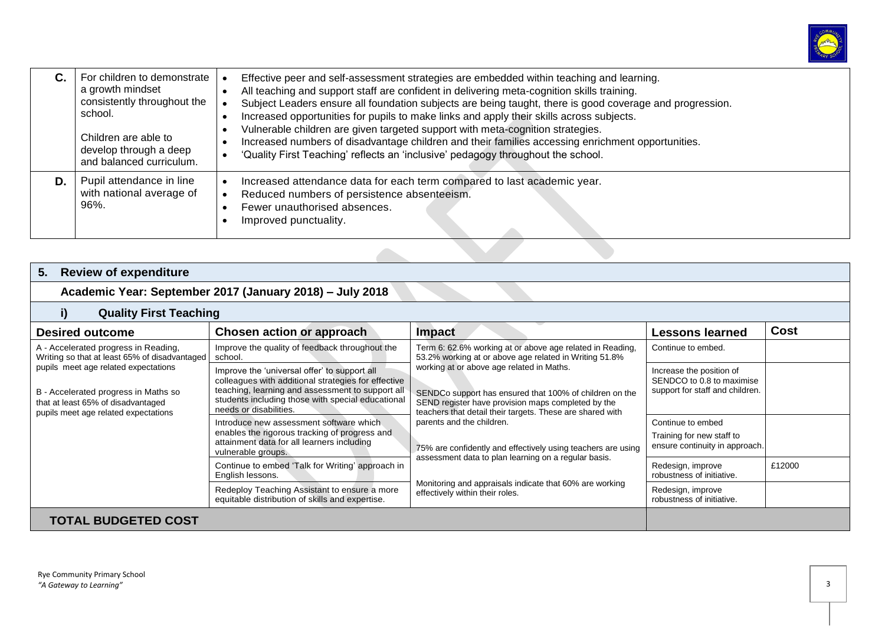

|    | For children to demonstrate<br>a growth mindset<br>consistently throughout the<br>school.<br>Children are able to<br>develop through a deep<br>and balanced curriculum. | Effective peer and self-assessment strategies are embedded within teaching and learning.<br>All teaching and support staff are confident in delivering meta-cognition skills training.<br>Subject Leaders ensure all foundation subjects are being taught, there is good coverage and progression.<br>Increased opportunities for pupils to make links and apply their skills across subjects.<br>Vulnerable children are given targeted support with meta-cognition strategies.<br>Increased numbers of disadvantage children and their families accessing enrichment opportunities.<br>'Quality First Teaching' reflects an 'inclusive' pedagogy throughout the school. |
|----|-------------------------------------------------------------------------------------------------------------------------------------------------------------------------|---------------------------------------------------------------------------------------------------------------------------------------------------------------------------------------------------------------------------------------------------------------------------------------------------------------------------------------------------------------------------------------------------------------------------------------------------------------------------------------------------------------------------------------------------------------------------------------------------------------------------------------------------------------------------|
| D. | Pupil attendance in line<br>with national average of<br>96%.                                                                                                            | Increased attendance data for each term compared to last academic year.<br>Reduced numbers of persistence absenteeism.<br>Fewer unauthorised absences.<br>Improved punctuality.                                                                                                                                                                                                                                                                                                                                                                                                                                                                                           |

## **5. Review of expenditure**

# **Academic Year: September 2017 (January 2018) – July 2018**

### **i) Quality First Teaching**

| <b>Desired outcome</b>                                                                                                                                                                                                                              | Chosen action or approach                                                                                                                                                                                                              | <b>Impact</b>                                                                                                                                                                                                                                                                                                                                                                                                                                                                                                                                                                                     | <b>Lessons learned</b>                                                                   | <b>Cost</b> |
|-----------------------------------------------------------------------------------------------------------------------------------------------------------------------------------------------------------------------------------------------------|----------------------------------------------------------------------------------------------------------------------------------------------------------------------------------------------------------------------------------------|---------------------------------------------------------------------------------------------------------------------------------------------------------------------------------------------------------------------------------------------------------------------------------------------------------------------------------------------------------------------------------------------------------------------------------------------------------------------------------------------------------------------------------------------------------------------------------------------------|------------------------------------------------------------------------------------------|-------------|
| A - Accelerated progress in Reading,<br>Writing so that at least 65% of disadvantaged<br>pupils meet age related expectations<br>B - Accelerated progress in Maths so<br>that at least 65% of disadvantaged<br>pupils meet age related expectations | Improve the quality of feedback throughout the<br>school.                                                                                                                                                                              | Term 6: 62.6% working at or above age related in Reading,<br>53.2% working at or above age related in Writing 51.8%<br>working at or above age related in Maths.<br>SENDCo support has ensured that 100% of children on the<br>SEND register have provision maps completed by the<br>teachers that detail their targets. These are shared with<br>parents and the children.<br>75% are confidently and effectively using teachers are using<br>assessment data to plan learning on a regular basis.<br>Monitoring and appraisals indicate that 60% are working<br>effectively within their roles. | Continue to embed.                                                                       |             |
|                                                                                                                                                                                                                                                     | Improve the 'universal offer' to support all<br>colleagues with additional strategies for effective<br>teaching, learning and assessment to support all<br>students including those with special educational<br>needs or disabilities. |                                                                                                                                                                                                                                                                                                                                                                                                                                                                                                                                                                                                   | Increase the position of<br>SENDCO to 0.8 to maximise<br>support for staff and children. |             |
|                                                                                                                                                                                                                                                     | Introduce new assessment software which<br>enables the rigorous tracking of progress and<br>attainment data for all learners including<br>vulnerable groups.                                                                           |                                                                                                                                                                                                                                                                                                                                                                                                                                                                                                                                                                                                   | Continue to embed<br>Training for new staff to<br>ensure continuity in approach.         |             |
|                                                                                                                                                                                                                                                     | Continue to embed 'Talk for Writing' approach in<br>English lessons.                                                                                                                                                                   |                                                                                                                                                                                                                                                                                                                                                                                                                                                                                                                                                                                                   | Redesign, improve<br>robustness of initiative.                                           | £12000      |
|                                                                                                                                                                                                                                                     | Redeploy Teaching Assistant to ensure a more<br>equitable distribution of skills and expertise.                                                                                                                                        |                                                                                                                                                                                                                                                                                                                                                                                                                                                                                                                                                                                                   | Redesign, improve<br>robustness of initiative.                                           |             |
| <b>TOTAL BUDGETED COST</b>                                                                                                                                                                                                                          |                                                                                                                                                                                                                                        |                                                                                                                                                                                                                                                                                                                                                                                                                                                                                                                                                                                                   |                                                                                          |             |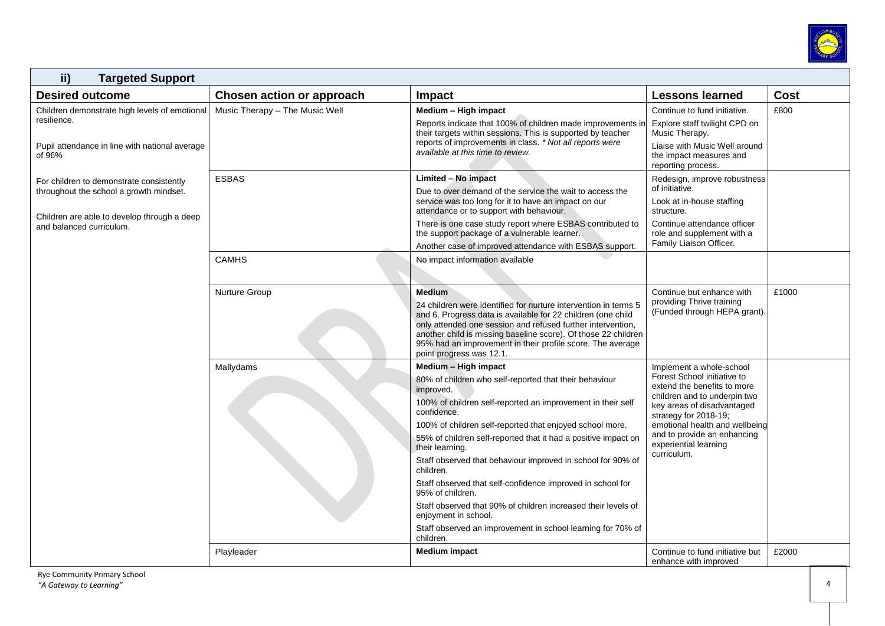

| ii)<br><b>Targeted Support</b>                                                                                                                                 |                                |                                                                                                                                                                                                                                                                                                                                                                                                                                                                                                                                                                                                                                                               |                                                                                                                                                                                                                                                                                        |       |
|----------------------------------------------------------------------------------------------------------------------------------------------------------------|--------------------------------|---------------------------------------------------------------------------------------------------------------------------------------------------------------------------------------------------------------------------------------------------------------------------------------------------------------------------------------------------------------------------------------------------------------------------------------------------------------------------------------------------------------------------------------------------------------------------------------------------------------------------------------------------------------|----------------------------------------------------------------------------------------------------------------------------------------------------------------------------------------------------------------------------------------------------------------------------------------|-------|
| <b>Desired outcome</b>                                                                                                                                         | Chosen action or approach      | Impact                                                                                                                                                                                                                                                                                                                                                                                                                                                                                                                                                                                                                                                        | <b>Lessons learned</b>                                                                                                                                                                                                                                                                 | Cost  |
| Children demonstrate high levels of emotional<br>resilience.<br>Pupil attendance in line with national average<br>of 96%                                       | Music Therapy - The Music Well | Medium - High impact<br>Reports indicate that 100% of children made improvements in<br>their targets within sessions. This is supported by teacher<br>reports of improvements in class. * Not all reports were<br>available at this time to review.                                                                                                                                                                                                                                                                                                                                                                                                           | Continue to fund initiative.<br>Explore staff twilight CPD on<br>Music Therapy.<br>Liaise with Music Well around<br>the impact measures and<br>reporting process.                                                                                                                      | £800  |
| For children to demonstrate consistently<br>throughout the school a growth mindset.<br>Children are able to develop through a deep<br>and balanced curriculum. | <b>ESBAS</b><br><b>CAMHS</b>   | Limited - No impact<br>Due to over demand of the service the wait to access the<br>service was too long for it to have an impact on our<br>attendance or to support with behaviour.<br>There is one case study report where ESBAS contributed to<br>the support package of a vulnerable learner.<br>Another case of improved attendance with ESBAS support.<br>No impact information available                                                                                                                                                                                                                                                                | Redesign, improve robustness<br>of initiative.<br>Look at in-house staffing<br>structure.<br>Continue attendance officer<br>role and supplement with a<br>Family Liaison Officer.                                                                                                      |       |
|                                                                                                                                                                | Nurture Group                  | <b>Medium</b><br>24 children were identified for nurture intervention in terms 5<br>and 6. Progress data is available for 22 children (one child<br>only attended one session and refused further intervention,<br>another child is missing baseline score). Of those 22 children<br>95% had an improvement in their profile score. The average<br>point progress was 12.1.                                                                                                                                                                                                                                                                                   | Continue but enhance with<br>providing Thrive training<br>(Funded through HEPA grant).                                                                                                                                                                                                 | £1000 |
|                                                                                                                                                                | Mallydams                      | Medium - High impact<br>80% of children who self-reported that their behaviour<br>improved.<br>100% of children self-reported an improvement in their self<br>confidence.<br>100% of children self-reported that enjoyed school more.<br>55% of children self-reported that it had a positive impact on<br>their learning.<br>Staff observed that behaviour improved in school for 90% of<br>children.<br>Staff observed that self-confidence improved in school for<br>95% of children.<br>Staff observed that 90% of children increased their levels of<br>enjoyment in school.<br>Staff observed an improvement in school learning for 70% of<br>children. | Implement a whole-school<br>Forest School initiative to<br>extend the benefits to more<br>children and to underpin two<br>key areas of disadvantaged<br>strategy for 2018-19;<br>emotional health and wellbeing<br>and to provide an enhancing<br>experiential learning<br>curriculum. |       |
|                                                                                                                                                                | Playleader                     | <b>Medium impact</b>                                                                                                                                                                                                                                                                                                                                                                                                                                                                                                                                                                                                                                          | Continue to fund initiative but<br>enhance with improved                                                                                                                                                                                                                               | £2000 |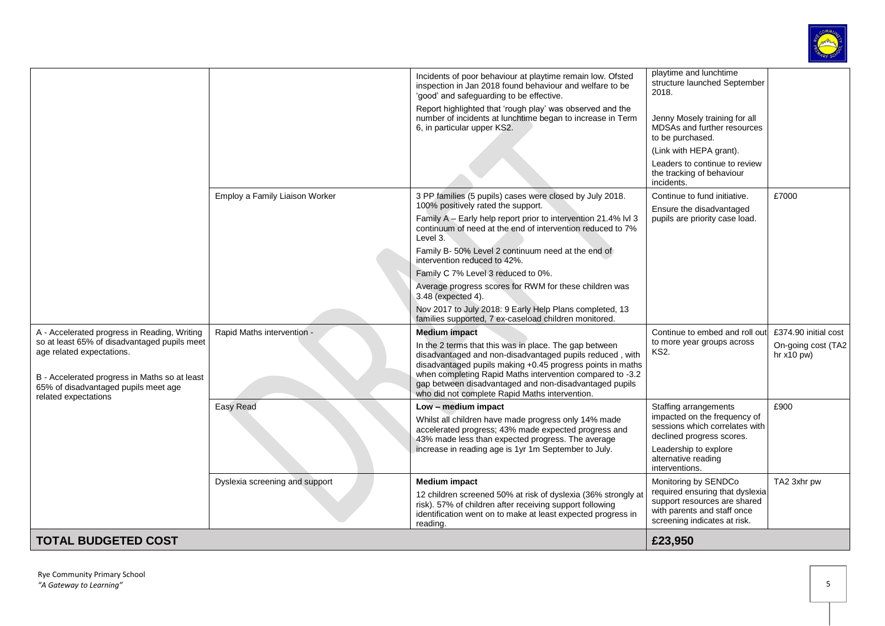

| <b>TOTAL BUDGETED COST</b>                                                                                                                                                                                                                 |                                |                                                                                                                                                                                                                                                                                                                                                                                   | £23,950                                                                                                                        |                                                            |
|--------------------------------------------------------------------------------------------------------------------------------------------------------------------------------------------------------------------------------------------|--------------------------------|-----------------------------------------------------------------------------------------------------------------------------------------------------------------------------------------------------------------------------------------------------------------------------------------------------------------------------------------------------------------------------------|--------------------------------------------------------------------------------------------------------------------------------|------------------------------------------------------------|
|                                                                                                                                                                                                                                            |                                | 12 children screened 50% at risk of dyslexia (36% strongly at<br>risk). 57% of children after receiving support following<br>identification went on to make at least expected progress in<br>reading.                                                                                                                                                                             | required ensuring that dyslexia<br>support resources are shared<br>with parents and staff once<br>screening indicates at risk. |                                                            |
|                                                                                                                                                                                                                                            | Dyslexia screening and support | <b>Medium impact</b>                                                                                                                                                                                                                                                                                                                                                              | alternative reading<br>interventions.<br>Monitoring by SENDCo                                                                  | TA2 3xhr pw                                                |
|                                                                                                                                                                                                                                            |                                | Whilst all children have made progress only 14% made<br>accelerated progress; 43% made expected progress and<br>43% made less than expected progress. The average<br>increase in reading age is 1yr 1m September to July.                                                                                                                                                         | impacted on the frequency of<br>sessions which correlates with<br>declined progress scores.<br>Leadership to explore           |                                                            |
|                                                                                                                                                                                                                                            | Easy Read                      | Low - medium impact                                                                                                                                                                                                                                                                                                                                                               | Staffing arrangements                                                                                                          | £900                                                       |
| A - Accelerated progress in Reading, Writing<br>so at least 65% of disadvantaged pupils meet<br>age related expectations.<br>B - Accelerated progress in Maths so at least<br>65% of disadvantaged pupils meet age<br>related expectations | Rapid Maths intervention -     | <b>Medium impact</b><br>In the 2 terms that this was in place. The gap between<br>disadvantaged and non-disadvantaged pupils reduced, with<br>disadvantaged pupils making +0.45 progress points in maths<br>when completing Rapid Maths intervention compared to -3.2<br>gap between disadvantaged and non-disadvantaged pupils<br>who did not complete Rapid Maths intervention. | Continue to embed and roll out<br>to more year groups across<br><b>KS2.</b>                                                    | £374.90 initial cost<br>On-going cost (TA2<br>hr $x10$ pw) |
|                                                                                                                                                                                                                                            |                                | Nov 2017 to July 2018: 9 Early Help Plans completed, 13<br>families supported, 7 ex-caseload children monitored.                                                                                                                                                                                                                                                                  |                                                                                                                                |                                                            |
|                                                                                                                                                                                                                                            |                                | Average progress scores for RWM for these children was<br>3.48 (expected 4).                                                                                                                                                                                                                                                                                                      |                                                                                                                                |                                                            |
|                                                                                                                                                                                                                                            |                                | intervention reduced to 42%.<br>Family C 7% Level 3 reduced to 0%.                                                                                                                                                                                                                                                                                                                |                                                                                                                                |                                                            |
|                                                                                                                                                                                                                                            |                                | Family B- 50% Level 2 continuum need at the end of                                                                                                                                                                                                                                                                                                                                |                                                                                                                                |                                                            |
|                                                                                                                                                                                                                                            |                                | Family A - Early help report prior to intervention 21.4% lvl 3<br>continuum of need at the end of intervention reduced to 7%<br>Level 3.                                                                                                                                                                                                                                          | pupils are priority case load.                                                                                                 |                                                            |
|                                                                                                                                                                                                                                            | Employ a Family Liaison Worker | 3 PP families (5 pupils) cases were closed by July 2018.<br>100% positively rated the support.                                                                                                                                                                                                                                                                                    | Continue to fund initiative.<br>Ensure the disadvantaged                                                                       | £7000                                                      |
|                                                                                                                                                                                                                                            |                                |                                                                                                                                                                                                                                                                                                                                                                                   | Leaders to continue to review<br>the tracking of behaviour<br>incidents.                                                       |                                                            |
|                                                                                                                                                                                                                                            |                                |                                                                                                                                                                                                                                                                                                                                                                                   | to be purchased.<br>(Link with HEPA grant).                                                                                    |                                                            |
|                                                                                                                                                                                                                                            |                                | Report highlighted that 'rough play' was observed and the<br>number of incidents at lunchtime began to increase in Term<br>6, in particular upper KS2.                                                                                                                                                                                                                            | Jenny Mosely training for all<br>MDSAs and further resources                                                                   |                                                            |
|                                                                                                                                                                                                                                            |                                | Incidents of poor behaviour at playtime remain low. Ofsted<br>inspection in Jan 2018 found behaviour and welfare to be<br>'good' and safeguarding to be effective.                                                                                                                                                                                                                | playtime and lunchtime<br>structure launched September<br>2018.                                                                |                                                            |
|                                                                                                                                                                                                                                            |                                |                                                                                                                                                                                                                                                                                                                                                                                   |                                                                                                                                |                                                            |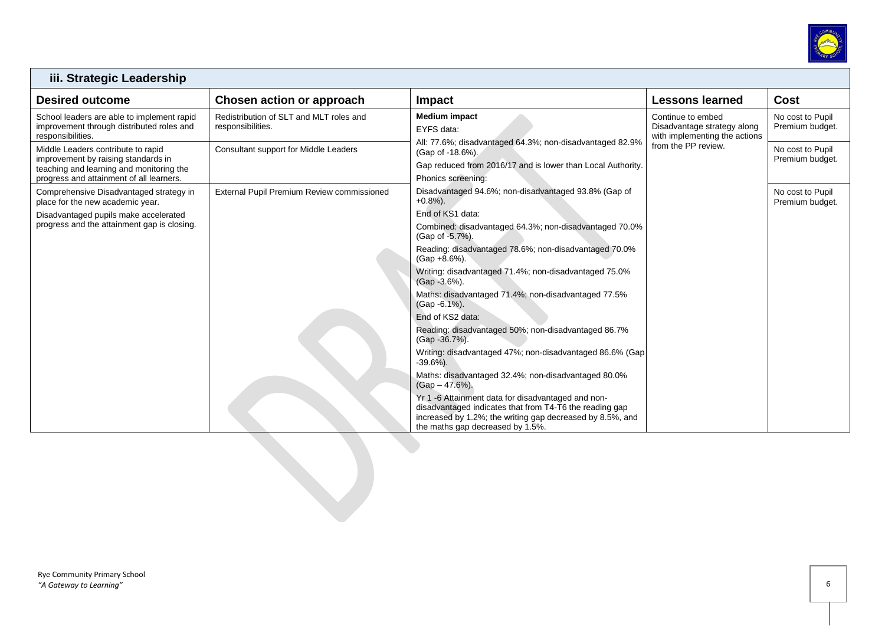

| iii. Strategic Leadership                                                                                                                                         |                                                                       |                                                                                                                                                                                                                |                                                                                   |                                     |  |
|-------------------------------------------------------------------------------------------------------------------------------------------------------------------|-----------------------------------------------------------------------|----------------------------------------------------------------------------------------------------------------------------------------------------------------------------------------------------------------|-----------------------------------------------------------------------------------|-------------------------------------|--|
| <b>Desired outcome</b>                                                                                                                                            | Chosen action or approach                                             | <b>Impact</b>                                                                                                                                                                                                  | <b>Lessons learned</b>                                                            | Cost                                |  |
| School leaders are able to implement rapid<br>improvement through distributed roles and<br>responsibilities.                                                      | Redistribution of SLT and MLT roles and<br>responsibilities.          | <b>Medium impact</b><br>EYFS data:                                                                                                                                                                             | Continue to embed<br>Disadvantage strategy along<br>with implementing the actions | No cost to Pupil<br>Premium budget. |  |
| Middle Leaders contribute to rapid<br>improvement by raising standards in<br>teaching and learning and monitoring the<br>progress and attainment of all learners. | Consultant support for Middle Leaders                                 | All: 77.6%; disadvantaged 64.3%; non-disadvantaged 82.9%<br>(Gap of -18.6%).<br>Gap reduced from 2016/17 and is lower than Local Authority.<br>Phonics screening:                                              | from the PP review.                                                               | No cost to Pupil<br>Premium budget. |  |
| Comprehensive Disadvantaged strategy in<br>place for the new academic year.                                                                                       | External Pupil Premium Review commissioned                            | Disadvantaged 94.6%; non-disadvantaged 93.8% (Gap of<br>$+0.8%$ ).                                                                                                                                             |                                                                                   | No cost to Pupil<br>Premium budget. |  |
| Disadvantaged pupils make accelerated                                                                                                                             |                                                                       | End of KS1 data:                                                                                                                                                                                               |                                                                                   |                                     |  |
| progress and the attainment gap is closing.<br>(Gap of -5.7%).                                                                                                    | Combined: disadvantaged 64.3%; non-disadvantaged 70.0%                |                                                                                                                                                                                                                |                                                                                   |                                     |  |
|                                                                                                                                                                   |                                                                       | Reading: disadvantaged 78.6%; non-disadvantaged 70.0%<br>$(Gap + 8.6\%).$                                                                                                                                      |                                                                                   |                                     |  |
|                                                                                                                                                                   | Writing: disadvantaged 71.4%; non-disadvantaged 75.0%<br>(Gap -3.6%). |                                                                                                                                                                                                                |                                                                                   |                                     |  |
|                                                                                                                                                                   |                                                                       | Maths: disadvantaged 71.4%; non-disadvantaged 77.5%<br>(Gap -6.1%).                                                                                                                                            |                                                                                   |                                     |  |
|                                                                                                                                                                   |                                                                       | End of KS2 data:                                                                                                                                                                                               |                                                                                   |                                     |  |
|                                                                                                                                                                   |                                                                       | Reading: disadvantaged 50%; non-disadvantaged 86.7%<br>(Gap - 36.7%).                                                                                                                                          |                                                                                   |                                     |  |
|                                                                                                                                                                   |                                                                       | Writing: disadvantaged 47%; non-disadvantaged 86.6% (Gap<br>$-39.6%$ ).                                                                                                                                        |                                                                                   |                                     |  |
|                                                                                                                                                                   |                                                                       | Maths: disadvantaged 32.4%; non-disadvantaged 80.0%<br>$(Gap - 47.6\%).$                                                                                                                                       |                                                                                   |                                     |  |
|                                                                                                                                                                   |                                                                       | Yr 1 -6 Attainment data for disadvantaged and non-<br>disadvantaged indicates that from T4-T6 the reading gap<br>increased by 1.2%; the writing gap decreased by 8.5%, and<br>the maths gap decreased by 1.5%. |                                                                                   |                                     |  |

Г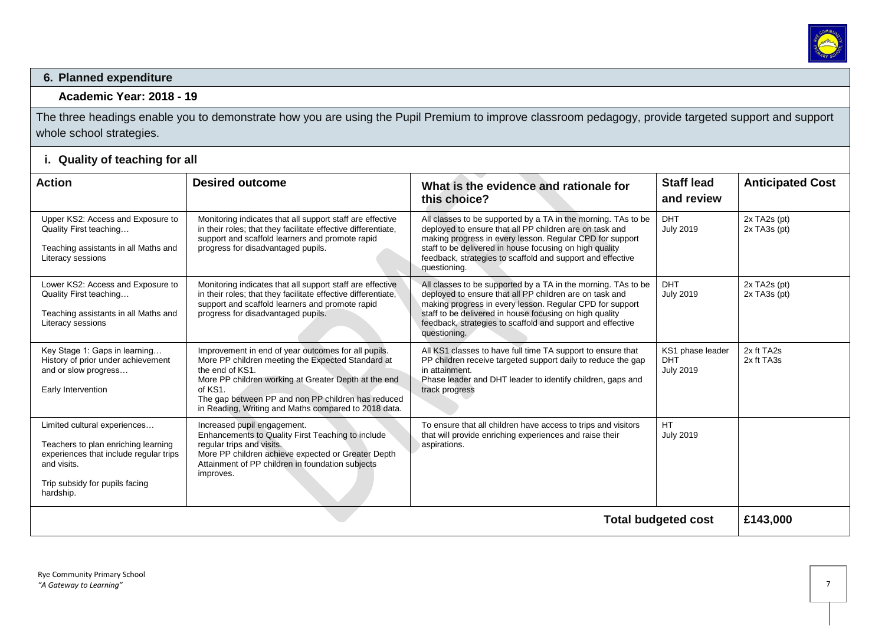

#### **6. Planned expenditure**

#### **Academic Year: 2018 - 19**

The three headings enable you to demonstrate how you are using the Pupil Premium to improve classroom pedagogy, provide targeted support and support whole school strategies.

### **i. Quality of teaching for all**

| <b>Action</b>                                                                                                                                                               | <b>Desired outcome</b>                                                                                                                                                                                                                                                                                       | What is the evidence and rationale for<br>this choice?                                                                                                                                                                                                                                                                        | <b>Staff lead</b><br>and review                    | <b>Anticipated Cost</b>                      |
|-----------------------------------------------------------------------------------------------------------------------------------------------------------------------------|--------------------------------------------------------------------------------------------------------------------------------------------------------------------------------------------------------------------------------------------------------------------------------------------------------------|-------------------------------------------------------------------------------------------------------------------------------------------------------------------------------------------------------------------------------------------------------------------------------------------------------------------------------|----------------------------------------------------|----------------------------------------------|
| Upper KS2: Access and Exposure to<br>Quality First teaching<br>Teaching assistants in all Maths and<br>Literacy sessions                                                    | Monitoring indicates that all support staff are effective<br>in their roles; that they facilitate effective differentiate,<br>support and scaffold learners and promote rapid<br>progress for disadvantaged pupils.                                                                                          | All classes to be supported by a TA in the morning. TAs to be<br>deployed to ensure that all PP children are on task and<br>making progress in every lesson. Regular CPD for support<br>staff to be delivered in house focusing on high quality<br>feedback, strategies to scaffold and support and effective<br>questioning. | <b>DHT</b><br><b>July 2019</b>                     | $2x$ TA <sub>2s</sub> (pt)<br>$2x$ TA3s (pt) |
| Lower KS2: Access and Exposure to<br>Quality First teaching<br>Teaching assistants in all Maths and<br>Literacy sessions                                                    | Monitoring indicates that all support staff are effective<br>in their roles; that they facilitate effective differentiate,<br>support and scaffold learners and promote rapid<br>progress for disadvantaged pupils.                                                                                          | All classes to be supported by a TA in the morning. TAs to be<br>deployed to ensure that all PP children are on task and<br>making progress in every lesson. Regular CPD for support<br>staff to be delivered in house focusing on high quality<br>feedback, strategies to scaffold and support and effective<br>questioning. | <b>DHT</b><br><b>July 2019</b>                     | $2x$ TA <sub>2s</sub> (pt)<br>$2x$ TA3s (pt) |
| Key Stage 1: Gaps in learning<br>History of prior under achievement<br>and or slow progress<br>Early Intervention                                                           | Improvement in end of year outcomes for all pupils.<br>More PP children meeting the Expected Standard at<br>the end of KS1.<br>More PP children working at Greater Depth at the end<br>of KS1.<br>The gap between PP and non PP children has reduced<br>in Reading, Writing and Maths compared to 2018 data. | All KS1 classes to have full time TA support to ensure that<br>PP children receive targeted support daily to reduce the gap<br>in attainment.<br>Phase leader and DHT leader to identify children, gaps and<br>track progress                                                                                                 | KS1 phase leader<br><b>DHT</b><br><b>July 2019</b> | 2x ft TA2s<br>2x ft TA3s                     |
| Limited cultural experiences<br>Teachers to plan enriching learning<br>experiences that include regular trips<br>and visits.<br>Trip subsidy for pupils facing<br>hardship. | Increased pupil engagement.<br>Enhancements to Quality First Teaching to include<br>regular trips and visits.<br>More PP children achieve expected or Greater Depth<br>Attainment of PP children in foundation subjects<br>improves.                                                                         | To ensure that all children have access to trips and visitors<br>that will provide enriching experiences and raise their<br>aspirations.                                                                                                                                                                                      | <b>HT</b><br><b>July 2019</b>                      |                                              |
| <b>Total budgeted cost</b>                                                                                                                                                  |                                                                                                                                                                                                                                                                                                              |                                                                                                                                                                                                                                                                                                                               |                                                    |                                              |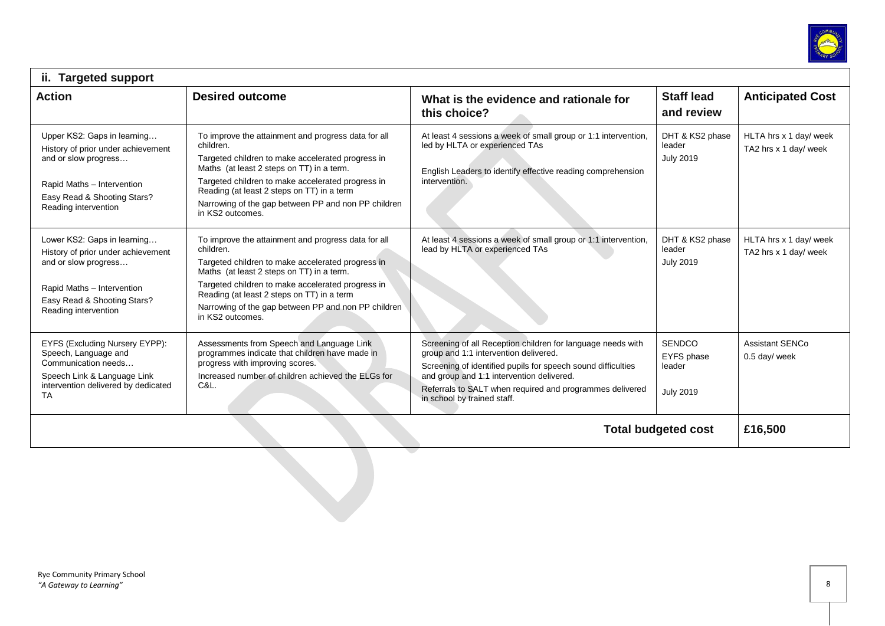

| ii. Targeted support                                                                                                                                                           |                                                                                                                                                                                                                                                                                                                                                  |                                                                                                                                                                                                                                                                                                              |                                                           |                                                 |  |
|--------------------------------------------------------------------------------------------------------------------------------------------------------------------------------|--------------------------------------------------------------------------------------------------------------------------------------------------------------------------------------------------------------------------------------------------------------------------------------------------------------------------------------------------|--------------------------------------------------------------------------------------------------------------------------------------------------------------------------------------------------------------------------------------------------------------------------------------------------------------|-----------------------------------------------------------|-------------------------------------------------|--|
| <b>Action</b>                                                                                                                                                                  | <b>Desired outcome</b>                                                                                                                                                                                                                                                                                                                           | What is the evidence and rationale for<br>this choice?                                                                                                                                                                                                                                                       | <b>Staff lead</b><br>and review                           | <b>Anticipated Cost</b>                         |  |
| Upper KS2: Gaps in learning<br>History of prior under achievement<br>and or slow progress<br>Rapid Maths - Intervention<br>Easy Read & Shooting Stars?<br>Reading intervention | To improve the attainment and progress data for all<br>children.<br>Targeted children to make accelerated progress in<br>Maths (at least 2 steps on TT) in a term.<br>Targeted children to make accelerated progress in<br>Reading (at least 2 steps on TT) in a term<br>Narrowing of the gap between PP and non PP children<br>in KS2 outcomes. | At least 4 sessions a week of small group or 1:1 intervention,<br>led by HLTA or experienced TAs<br>English Leaders to identify effective reading comprehension<br>intervention.                                                                                                                             | DHT & KS2 phase<br>leader<br><b>July 2019</b>             | HLTA hrs x 1 day/ week<br>TA2 hrs x 1 day/ week |  |
| Lower KS2: Gaps in learning<br>History of prior under achievement<br>and or slow progress<br>Rapid Maths - Intervention<br>Easy Read & Shooting Stars?<br>Reading intervention | To improve the attainment and progress data for all<br>children.<br>Targeted children to make accelerated progress in<br>Maths (at least 2 steps on TT) in a term.<br>Targeted children to make accelerated progress in<br>Reading (at least 2 steps on TT) in a term<br>Narrowing of the gap between PP and non PP children<br>in KS2 outcomes. | At least 4 sessions a week of small group or 1:1 intervention,<br>lead by HLTA or experienced TAs                                                                                                                                                                                                            | DHT & KS2 phase<br>leader<br><b>July 2019</b>             | HLTA hrs x 1 day/ week<br>TA2 hrs x 1 day/ week |  |
| EYFS (Excluding Nursery EYPP):<br>Speech, Language and<br>Communication needs<br>Speech Link & Language Link<br>intervention delivered by dedicated<br><b>TA</b>               | Assessments from Speech and Language Link<br>programmes indicate that children have made in<br>progress with improving scores.<br>Increased number of children achieved the ELGs for<br>C&L.                                                                                                                                                     | Screening of all Reception children for language needs with<br>group and 1:1 intervention delivered.<br>Screening of identified pupils for speech sound difficulties<br>and group and 1:1 intervention delivered.<br>Referrals to SALT when required and programmes delivered<br>in school by trained staff. | <b>SENDCO</b><br>EYFS phase<br>leader<br><b>July 2019</b> | <b>Assistant SENCo</b><br>0.5 day/ week         |  |
| £16,500<br><b>Total budgeted cost</b>                                                                                                                                          |                                                                                                                                                                                                                                                                                                                                                  |                                                                                                                                                                                                                                                                                                              |                                                           |                                                 |  |
|                                                                                                                                                                                |                                                                                                                                                                                                                                                                                                                                                  |                                                                                                                                                                                                                                                                                                              |                                                           |                                                 |  |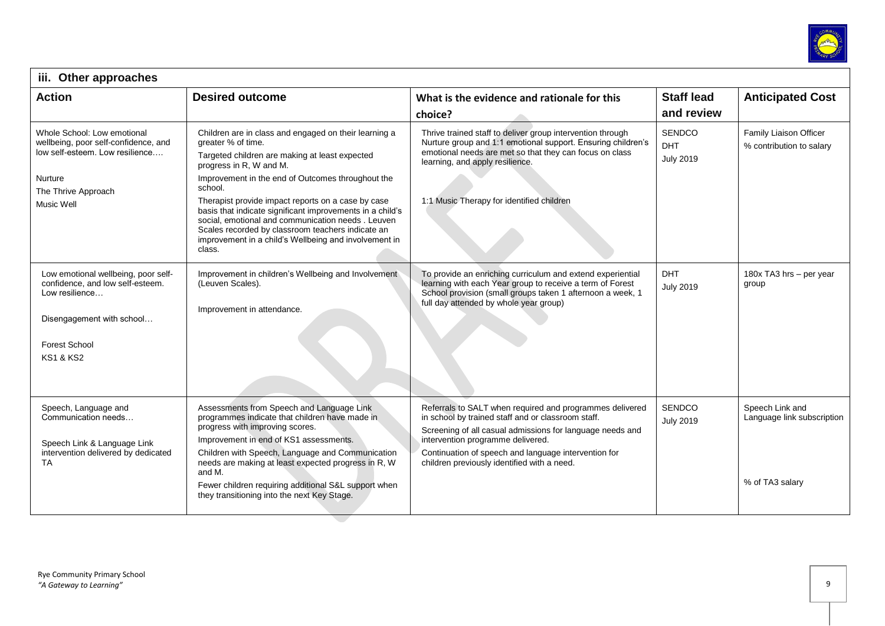

| iii. Other approaches                                                                                                                                                  |                                                                                                                                                                                                                                                                                                                                                                                                                                                                                                                          |                                                                                                                                                                                                                                                                                                                         |                                          |                                                                  |  |
|------------------------------------------------------------------------------------------------------------------------------------------------------------------------|--------------------------------------------------------------------------------------------------------------------------------------------------------------------------------------------------------------------------------------------------------------------------------------------------------------------------------------------------------------------------------------------------------------------------------------------------------------------------------------------------------------------------|-------------------------------------------------------------------------------------------------------------------------------------------------------------------------------------------------------------------------------------------------------------------------------------------------------------------------|------------------------------------------|------------------------------------------------------------------|--|
| <b>Action</b>                                                                                                                                                          | <b>Desired outcome</b>                                                                                                                                                                                                                                                                                                                                                                                                                                                                                                   | What is the evidence and rationale for this                                                                                                                                                                                                                                                                             | <b>Staff lead</b>                        | <b>Anticipated Cost</b>                                          |  |
|                                                                                                                                                                        |                                                                                                                                                                                                                                                                                                                                                                                                                                                                                                                          | choice?                                                                                                                                                                                                                                                                                                                 | and review                               |                                                                  |  |
| Whole School: Low emotional<br>wellbeing, poor self-confidence, and<br>low self-esteem. Low resilience<br>Nurture<br>The Thrive Approach<br>Music Well                 | Children are in class and engaged on their learning a<br>greater % of time.<br>Targeted children are making at least expected<br>progress in R, W and M.<br>Improvement in the end of Outcomes throughout the<br>school.<br>Therapist provide impact reports on a case by case<br>basis that indicate significant improvements in a child's<br>social, emotional and communication needs. Leuven<br>Scales recorded by classroom teachers indicate an<br>improvement in a child's Wellbeing and involvement in<br>class. | Thrive trained staff to deliver group intervention through<br>Nurture group and 1:1 emotional support. Ensuring children's<br>emotional needs are met so that they can focus on class<br>learning, and apply resilience.<br>1:1 Music Therapy for identified children                                                   | SENDCO<br><b>DHT</b><br><b>July 2019</b> | Family Liaison Officer<br>% contribution to salary               |  |
| Low emotional wellbeing, poor self-<br>confidence, and low self-esteem.<br>Low resilience<br>Disengagement with school<br><b>Forest School</b><br><b>KS1 &amp; KS2</b> | Improvement in children's Wellbeing and Involvement<br>(Leuven Scales).<br>Improvement in attendance.                                                                                                                                                                                                                                                                                                                                                                                                                    | To provide an enriching curriculum and extend experiential<br>learning with each Year group to receive a term of Forest<br>School provision (small groups taken 1 afternoon a week, 1<br>full day attended by whole year group)                                                                                         | <b>DHT</b><br><b>July 2019</b>           | 180x TA3 hrs - per year<br>group                                 |  |
| Speech, Language and<br>Communication needs<br>Speech Link & Language Link<br>intervention delivered by dedicated<br>TA                                                | Assessments from Speech and Language Link<br>programmes indicate that children have made in<br>progress with improving scores.<br>Improvement in end of KS1 assessments.<br>Children with Speech, Language and Communication<br>needs are making at least expected progress in R, W<br>and M.<br>Fewer children requiring additional S&L support when<br>they transitioning into the next Key Stage.                                                                                                                     | Referrals to SALT when required and programmes delivered<br>in school by trained staff and or classroom staff.<br>Screening of all casual admissions for language needs and<br>intervention programme delivered.<br>Continuation of speech and language intervention for<br>children previously identified with a need. | <b>SENDCO</b><br><b>July 2019</b>        | Speech Link and<br>Language link subscription<br>% of TA3 salary |  |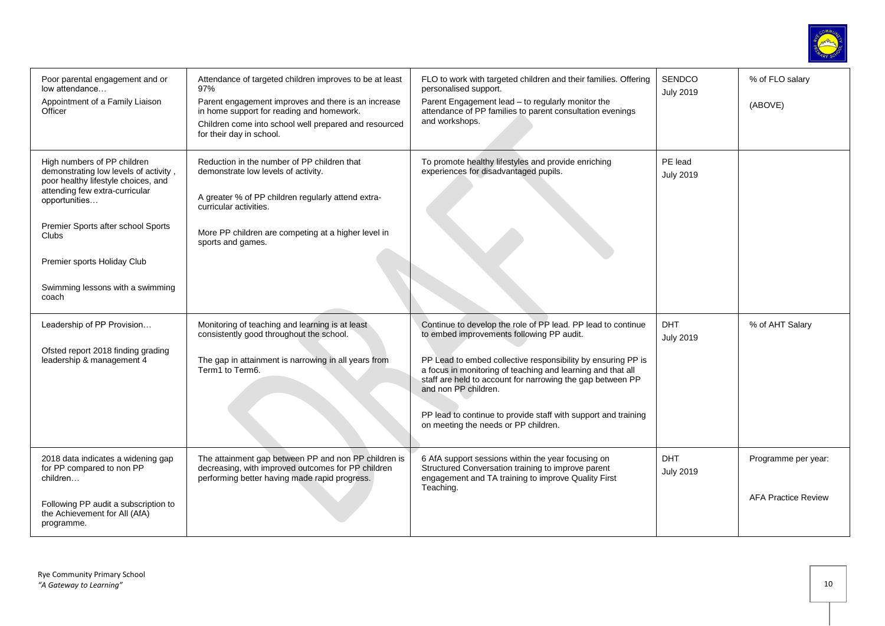

| Poor parental engagement and or<br>low attendance<br>Appointment of a Family Liaison<br>Officer                                                                                                                                                                                                  | Attendance of targeted children improves to be at least<br>97%<br>Parent engagement improves and there is an increase<br>in home support for reading and homework.<br>Children come into school well prepared and resourced<br>for their day in school. | FLO to work with targeted children and their families. Offering<br>personalised support.<br>Parent Engagement lead - to regularly monitor the<br>attendance of PP families to parent consultation evenings<br>and workshops.                                                                                                                                                                                                             | SENDCO<br><b>July 2019</b>     | % of FLO salary<br>(ABOVE)                        |
|--------------------------------------------------------------------------------------------------------------------------------------------------------------------------------------------------------------------------------------------------------------------------------------------------|---------------------------------------------------------------------------------------------------------------------------------------------------------------------------------------------------------------------------------------------------------|------------------------------------------------------------------------------------------------------------------------------------------------------------------------------------------------------------------------------------------------------------------------------------------------------------------------------------------------------------------------------------------------------------------------------------------|--------------------------------|---------------------------------------------------|
| High numbers of PP children<br>demonstrating low levels of activity,<br>poor healthy lifestyle choices, and<br>attending few extra-curricular<br>opportunities<br>Premier Sports after school Sports<br><b>Clubs</b><br>Premier sports Holiday Club<br>Swimming lessons with a swimming<br>coach | Reduction in the number of PP children that<br>demonstrate low levels of activity.<br>A greater % of PP children regularly attend extra-<br>curricular activities.<br>More PP children are competing at a higher level in<br>sports and games.          | To promote healthy lifestyles and provide enriching<br>experiences for disadvantaged pupils.                                                                                                                                                                                                                                                                                                                                             | PE lead<br><b>July 2019</b>    |                                                   |
| Leadership of PP Provision<br>Ofsted report 2018 finding grading<br>leadership & management 4                                                                                                                                                                                                    | Monitoring of teaching and learning is at least<br>consistently good throughout the school.<br>The gap in attainment is narrowing in all years from<br>Term1 to Term6.                                                                                  | Continue to develop the role of PP lead. PP lead to continue<br>to embed improvements following PP audit.<br>PP Lead to embed collective responsibility by ensuring PP is<br>a focus in monitoring of teaching and learning and that all<br>staff are held to account for narrowing the gap between PP<br>and non PP children.<br>PP lead to continue to provide staff with support and training<br>on meeting the needs or PP children. | <b>DHT</b><br><b>July 2019</b> | % of AHT Salary                                   |
| 2018 data indicates a widening gap<br>for PP compared to non PP<br>children<br>Following PP audit a subscription to<br>the Achievement for All (AfA)<br>programme.                                                                                                                               | The attainment gap between PP and non PP children is<br>decreasing, with improved outcomes for PP children<br>performing better having made rapid progress.                                                                                             | 6 AfA support sessions within the year focusing on<br>Structured Conversation training to improve parent<br>engagement and TA training to improve Quality First<br>Teaching.                                                                                                                                                                                                                                                             | <b>DHT</b><br><b>July 2019</b> | Programme per year:<br><b>AFA Practice Review</b> |